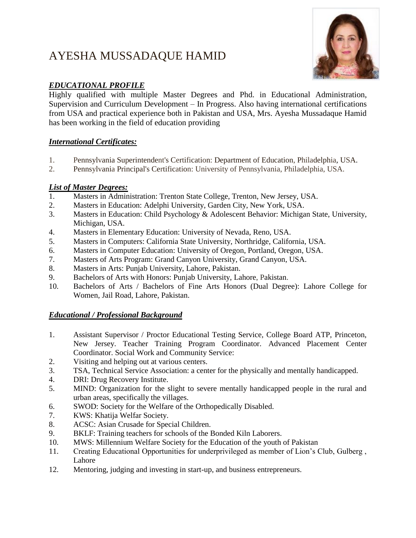# AYESHA MUSSADAQUE HAMID



## *EDUCATIONAL PROFILE*

Highly qualified with multiple Master Degrees and Phd. in Educational Administration, Supervision and Curriculum Development – In Progress. Also having international certifications from USA and practical experience both in Pakistan and USA, Mrs. Ayesha Mussadaque Hamid has been working in the field of education providing

## *International Certificates:*

- 1. Pennsylvania Superintendent's Certification: Department of Education, Philadelphia, USA.
- 2. Pennsylvania Principal's Certification: University of Pennsylvania, Philadelphia, USA.

### *List of Master Degrees:*

- 1. Masters in Administration: Trenton State College, Trenton, New Jersey, USA.
- 2. Masters in Education: Adelphi University, Garden City, New York, USA.
- 3. Masters in Education: Child Psychology & Adolescent Behavior: Michigan State, University, Michigan, USA.
- 4. Masters in Elementary Education: University of Nevada, Reno, USA.
- 5. Masters in Computers: California State University, Northridge, California, USA.
- 6. Masters in Computer Education: University of Oregon, Portland, Oregon, USA.
- 7. Masters of Arts Program: Grand Canyon University, Grand Canyon, USA.
- 8. Masters in Arts: Punjab University, Lahore, Pakistan.
- 9. Bachelors of Arts with Honors: Punjab University, Lahore, Pakistan.
- 10. Bachelors of Arts / Bachelors of Fine Arts Honors (Dual Degree): Lahore College for Women, Jail Road, Lahore, Pakistan.

### *Educational / Professional Background*

- 1. Assistant Supervisor / Proctor Educational Testing Service, College Board ATP, Princeton, New Jersey. Teacher Training Program Coordinator. Advanced Placement Center Coordinator. Social Work and Community Service:
- 2. Visiting and helping out at various centers.
- 3. TSA, Technical Service Association: a center for the physically and mentally handicapped.
- 4. DRI: Drug Recovery Institute.
- 5. MIND: Organization for the slight to severe mentally handicapped people in the rural and urban areas, specifically the villages.
- 6. SWOD: Society for the Welfare of the Orthopedically Disabled.
- 7. KWS: Khatija Welfar Society.
- 8. ACSC: Asian Crusade for Special Children.
- 9. BKLF: Training teachers for schools of the Bonded Kiln Laborers.
- 10. MWS: Millennium Welfare Society for the Education of the youth of Pakistan
- 11. Creating Educational Opportunities for underprivileged as member of Lion's Club, Gulberg , Lahore
- 12. Mentoring, judging and investing in start-up, and business entrepreneurs.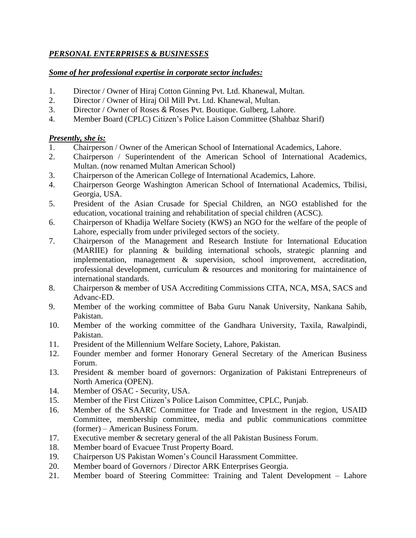#### *PERSONAL ENTERPRISES & BUSINESSES*

#### *Some of her professional expertise in corporate sector includes:*

- 1. Director / Owner of Hiraj Cotton Ginning Pvt. Ltd. Khanewal, Multan.
- 2. Director / Owner of Hiraj Oil Mill Pvt. Ltd. Khanewal, Multan.
- 3. Director / *O*wner of Roses & Roses Pvt. Boutique. Gulberg, Lahore.
- 4. Member Board (CPLC) Citizen's Police Laison Committee (Shahbaz Sharif)

#### *Presently, she is:*

- 1. Chairperson / Owner of the American School of International Academics, Lahore.
- 2. Chairperson / Superintendent of the American School of International Academics, Multan. (now renamed Multan American School)
- 3. Chairperson of the American College of International Academics, Lahore.
- 4. Chairperson George Washington American School of International Academics, Tbilisi, Georgia, USA.
- 5. President of the Asian Crusade for Special Children, an NGO established for the education, vocational training and rehabilitation of special children (ACSC).
- 6. Chairperson of Khadija Welfare Society (KWS) an NGO for the welfare of the people of Lahore, especially from under privileged sectors of the society.
- 7. Chairperson of the Management and Research Instiute for International Education (MARIIE) for planning & building international schools, strategic planning and implementation, management & supervision, school improvement, accreditation, professional development, curriculum & resources and monitoring for maintainence of international standards.
- 8. Chairperson & member of USA Accrediting Commissions CITA, NCA, MSA, SACS and Advanc-ED.
- 9. Member of the working committee of Baba Guru Nanak University, Nankana Sahib, Pakistan.
- 10. Member of the working committee of the Gandhara University, Taxila, Rawalpindi, Pakistan.
- 11. President of the Millennium Welfare Society, Lahore, Pakistan.
- 12. Founder member and former Honorary General Secretary of the American Business Forum.
- 13. President & member board of governors: Organization of Pakistani Entrepreneurs of North America (OPEN).
- 14. Member of OSAC Security, USA.
- 15. Member of the First Citizen's Police Laison Committee, CPLC, Punjab.
- 16. Member of the SAARC Committee for Trade and Investment in the region, USAID Committee, membership committee, media and public communications committee (former) – American Business Forum.
- 17. Executive member & secretary general of the all Pakistan Business Forum.
- 18. Member board of Evacuee Trust Property Board.
- 19. Chairperson US Pakistan Women's Council Harassment Committee.
- 20. Member board of Governors / Director ARK Enterprises Georgia.
- 21. Member board of Steering Committee: Training and Talent Development Lahore